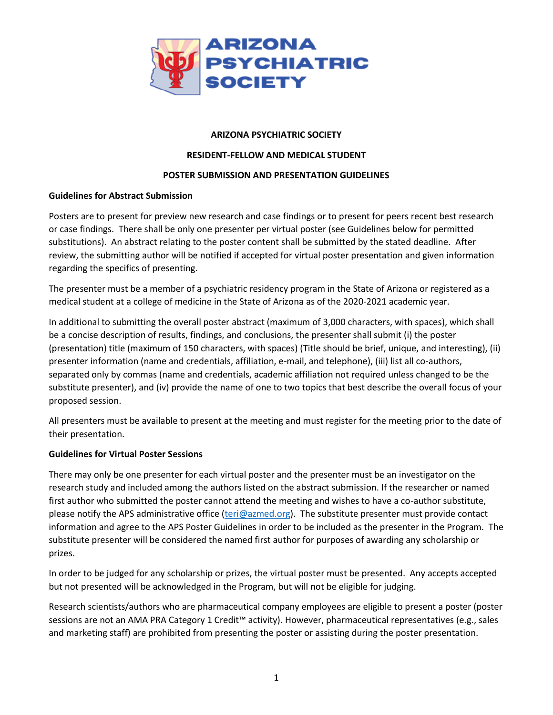

# **ARIZONA PSYCHIATRIC SOCIETY**

# **RESIDENT-FELLOW AND MEDICAL STUDENT**

# **POSTER SUBMISSION AND PRESENTATION GUIDELINES**

# **Guidelines for Abstract Submission**

Posters are to present for preview new research and case findings or to present for peers recent best research or case findings. There shall be only one presenter per virtual poster (see Guidelines below for permitted substitutions). An abstract relating to the poster content shall be submitted by the stated deadline. After review, the submitting author will be notified if accepted for virtual poster presentation and given information regarding the specifics of presenting.

The presenter must be a member of a psychiatric residency program in the State of Arizona or registered as a medical student at a college of medicine in the State of Arizona as of the 2020-2021 academic year.

In additional to submitting the overall poster abstract (maximum of 3,000 characters, with spaces), which shall be a concise description of results, findings, and conclusions, the presenter shall submit (i) the poster (presentation) title (maximum of 150 characters, with spaces) (Title should be brief, unique, and interesting), (ii) presenter information (name and credentials, affiliation, e-mail, and telephone), (iii) list all co-authors, separated only by commas (name and credentials, academic affiliation not required unless changed to be the substitute presenter), and (iv) provide the name of one to two topics that best describe the overall focus of your proposed session.

All presenters must be available to present at the meeting and must register for the meeting prior to the date of their presentation.

# **Guidelines for Virtual Poster Sessions**

There may only be one presenter for each virtual poster and the presenter must be an investigator on the research study and included among the authors listed on the abstract submission. If the researcher or named first author who submitted the poster cannot attend the meeting and wishes to have a co-author substitute, please notify the APS administrative office [\(teri@azmed.org\)](mailto:teri@azmed.org). The substitute presenter must provide contact information and agree to the APS Poster Guidelines in order to be included as the presenter in the Program. The substitute presenter will be considered the named first author for purposes of awarding any scholarship or prizes.

In order to be judged for any scholarship or prizes, the virtual poster must be presented. Any accepts accepted but not presented will be acknowledged in the Program, but will not be eligible for judging.

Research scientists/authors who are pharmaceutical company employees are eligible to present a poster (poster sessions are not an AMA PRA Category 1 Credit™ activity). However, pharmaceutical representatives (e.g., sales and marketing staff) are prohibited from presenting the poster or assisting during the poster presentation.